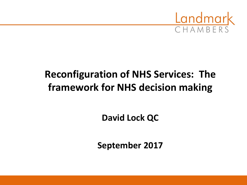

### **Reconfiguration of NHS Services: The framework for NHS decision making**

**David Lock QC**

**September 2017**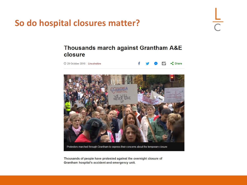So do hospital closures matter?

# $rac{L}{C}$

#### Thousands march against Grantham A&E closure

© 29 October 2016 Lincolnshire





Protestors marched through Grantham to express their concerns about the temporary closure

Thousands of people have protested against the overnight closure of Grantham hospital's accident and emergency unit.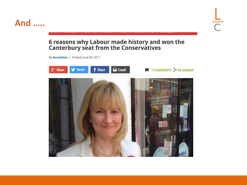#### **And .....**

## $\frac{L}{C}$

## 6 reasons why Labour made history and won the<br>Canterbury seat from the Conservatives

By benashton | Posted: June 09, 2017

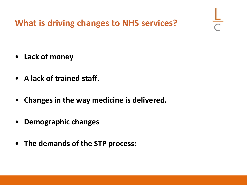**What is driving changes to NHS services?**

- **Lack of money**
- **A lack of trained staff.**
- **Changes in the way medicine is delivered.**
- **Demographic changes**
- **The demands of the STP process:**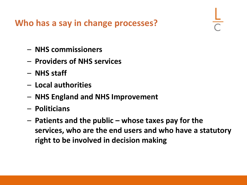**Who has a say in change processes?**

- **NHS commissioners**
- **Providers of NHS services**
- **NHS staff**
- **Local authorities**
- **NHS England and NHS Improvement**
- **Politicians**
- **Patients and the public – whose taxes pay for the services, who are the end users and who have a statutory right to be involved in decision making**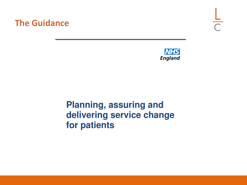#### **The Guidance**





### **Planning, assuring and** delivering service change for patients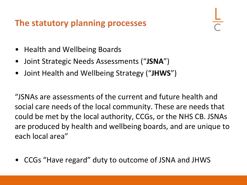#### **The statutory planning processes**

- Health and Wellbeing Boards
- Joint Strategic Needs Assessments ("**JSNA**")
- Joint Health and Wellbeing Strategy ("**JHWS**")

"JSNAs are assessments of the current and future health and social care needs of the local community. These are needs that could be met by the local authority, CCGs, or the NHS CB. JSNAs are produced by health and wellbeing boards, and are unique to each local area"

• CCGs "Have regard" duty to outcome of JSNA and JHWS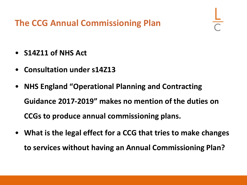**The CCG Annual Commissioning Plan**

- **S14Z11 of NHS Act**
- **Consultation under s14Z13**
- **NHS England "Operational Planning and Contracting Guidance 2017-2019" makes no mention of the duties on CCGs to produce annual commissioning plans.**
- **What is the legal effect for a CCG that tries to make changes to services without having an Annual Commissioning Plan?**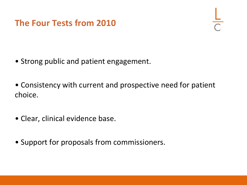### **The Four Tests from 2010**

- Strong public and patient engagement.
- Consistency with current and prospective need for patient choice.
- Clear, clinical evidence base.
- Support for proposals from commissioners.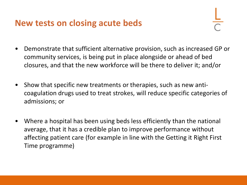#### **New tests on closing acute beds**

- Demonstrate that sufficient alternative provision, such as increased GP or community services, is being put in place alongside or ahead of bed closures, and that the new workforce will be there to deliver it; and/or
- Show that specific new treatments or therapies, such as new anticoagulation drugs used to treat strokes, will reduce specific categories of admissions; or
- Where a hospital has been using beds less efficiently than the national average, that it has a credible plan to improve performance without affecting patient care (for example in line with the Getting it Right First Time programme)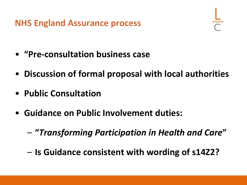**NHS England Assurance process**

- **"Pre-consultation business case**
- **Discussion of formal proposal with local authorities**
- **Public Consultation**
- **Guidance on Public Involvement duties:**
	- **"***Transforming Participation in Health and Care***"**
	- **Is Guidance consistent with wording of s14Z2?**